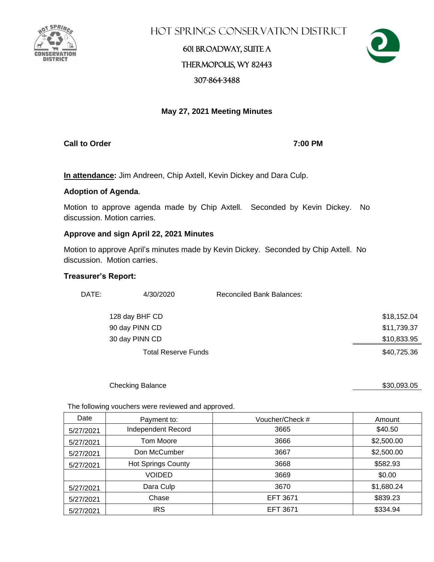

Hot Springs Conservation District

## 601 Broadway, Suite A Thermopolis, WY 82443 307-864-3488



### **May 27, 2021 Meeting Minutes**

**Call to Order 7:00 PM**

**In attendance:** Jim Andreen, Chip Axtell, Kevin Dickey and Dara Culp.

### **Adoption of Agenda**.

Motion to approve agenda made by Chip Axtell. Seconded by Kevin Dickey. No discussion. Motion carries.

### **Approve and sign April 22, 2021 Minutes**

Motion to approve April's minutes made by Kevin Dickey. Seconded by Chip Axtell. No discussion. Motion carries.

### **Treasurer's Report:**

| DATE: | 4/30/2020                  | Reconciled Bank Balances: |             |
|-------|----------------------------|---------------------------|-------------|
|       | 128 day BHF CD             |                           | \$18,152.04 |
|       | 90 day PINN CD             |                           | \$11,739.37 |
|       | 30 day PINN CD             |                           | \$10,833.95 |
|       | <b>Total Reserve Funds</b> |                           | \$40,725.36 |

#### Checking Balance \$30,093.05

The following vouchers were reviewed and approved.

| Date      | Payment to:               | Voucher/Check # | Amount     |
|-----------|---------------------------|-----------------|------------|
| 5/27/2021 | Independent Record        | 3665            | \$40.50    |
| 5/27/2021 | Tom Moore                 | 3666            | \$2,500.00 |
| 5/27/2021 | Don McCumber              | 3667            | \$2,500.00 |
| 5/27/2021 | <b>Hot Springs County</b> | 3668            | \$582.93   |
|           | <b>VOIDED</b>             | 3669            | \$0.00     |
| 5/27/2021 | Dara Culp                 | 3670            | \$1,680.24 |
| 5/27/2021 | Chase                     | EFT 3671        | \$839.23   |
| 5/27/2021 | <b>IRS</b>                | <b>EFT 3671</b> | \$334.94   |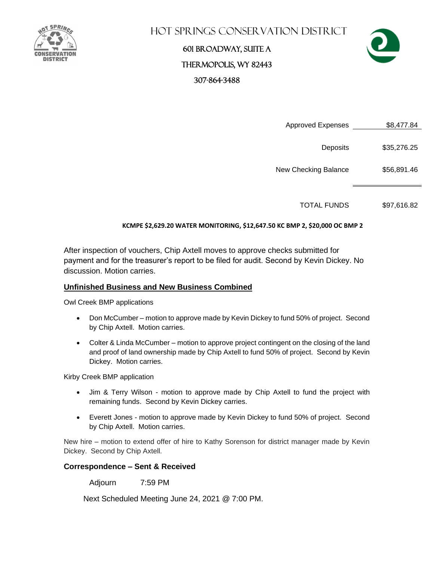

## Hot Springs Conservation District

## 601 Broadway, Suite A Thermopolis, WY 82443 307-864-3488



Approved Expenses \$8,477.84

Deposits \$35,276.25

New Checking Balance \$56,891.46

TOTAL FUNDS \$97,616.82

### **KCMPE \$2,629.20 WATER MONITORING, \$12,647.50 KC BMP 2, \$20,000 OC BMP 2**

After inspection of vouchers, Chip Axtell moves to approve checks submitted for payment and for the treasurer's report to be filed for audit. Second by Kevin Dickey. No discussion. Motion carries.

### **Unfinished Business and New Business Combined**

Owl Creek BMP applications

- Don McCumber motion to approve made by Kevin Dickey to fund 50% of project. Second by Chip Axtell. Motion carries.
- Colter & Linda McCumber motion to approve project contingent on the closing of the land and proof of land ownership made by Chip Axtell to fund 50% of project. Second by Kevin Dickey. Motion carries.

Kirby Creek BMP application

- Jim & Terry Wilson motion to approve made by Chip Axtell to fund the project with remaining funds. Second by Kevin Dickey carries.
- Everett Jones motion to approve made by Kevin Dickey to fund 50% of project. Second by Chip Axtell. Motion carries.

New hire – motion to extend offer of hire to Kathy Sorenson for district manager made by Kevin Dickey. Second by Chip Axtell.

### **Correspondence – Sent & Received**

Adjourn 7:59 PM

Next Scheduled Meeting June 24, 2021 @ 7:00 PM.